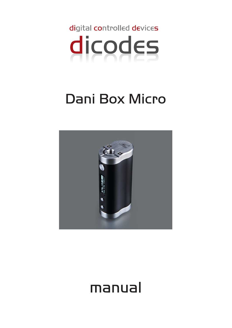

# Dani Box Micro



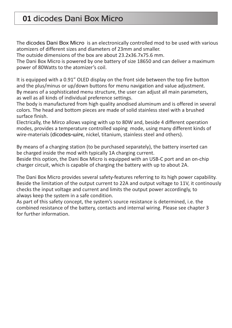# **01** dicodes Dani Box Micro

The dicodes Dani Box Micro is an electronically controlled mod to be used with various atomizers of different sizes and diameters of 23mm and smaller.

The outside dimensions of the box are about 23.2x36.7x75.6 mm.

The Dani Box Micro is powered by one battery of size 18650 and can deliver a maximum power of 80Watts to the atomizer's coil.

It is equipped with a 0.91" OLED display on the front side between the top fire button and the plus/minus or up/down buttons for menu navigation and value adjustment. By means of a sophisticated menu structure, the user can adjust all main parameters, as well as all kinds of individual preference settings.

The body is manufactured from high quality anodised aluminum and is offered in several colors. The head and bottom pieces are made of solid stainless steel with a brushed surface finish.

Electrically, the Mirco allows vaping with up to 80W and, beside 4 different operation modes, provides a temperature controlled vaping mode, using many different kinds of wire-materials (dicodes-wire, nickel, titanium, stainless steel and others).

By means of a charging station (to be purchased separately), the battery inserted can be charged inside the mod with typically 1A charging current.

Beside this option, the Dani Box Micro is equipped with an USB-C port and an on-chip charger circuit, which is capable of charging the battery with up to about 2A.

The Dani Box Micro provides several safety-features referring to its high power capability. Beside the limitation of the output current to 22A and output voltage to 11V, it continously checks the input voltage and current and limits the output power accordingly, to always keep the system in a safe condition.

As part of this safety concept, the system's source resistance is determined, i.e. the combined resistance of the battery, contacts and internal wiring. Please see chapter 3 for further information.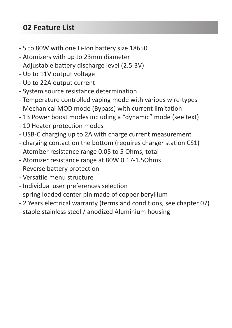# **02 Feature List**

- 5 to 80W with one Li-Ion battery size 18650
- Atomizers with up to 23mm diameter
- Adjustable battery discharge level (2.5-3V)
- Up to 11V output voltage
- Up to 22A output current
- System source resistance determination
- Temperature controlled vaping mode with various wire-types
- Mechanical MOD mode (Bypass) with current limitation
- 13 Power boost modes including a "dynamic" mode (see text)
- 10 Heater protection modes
- USB-C charging up to 2A with charge current measurement
- charging contact on the bottom (requires charger station CS1)
- Atomizer resistance range 0.05 to 5 Ohms, total
- Atomizer resistance range at 80W 0.17-1.5Ohms
- Reverse battery protection
- Versatile menu structure
- Individual user preferences selection
- spring loaded center pin made of copper beryllium
- 2 Years electrical warranty (terms and conditions, see chapter 07)
- stable stainless steel / anodized Aluminium housing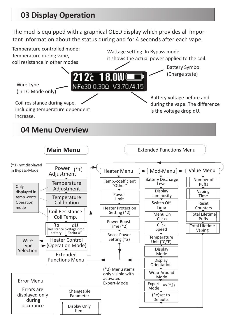# **03 Display Operation**

The mod is equipped with a graphical OLED display which provides all important information about the status during and for 4 seconds after each vape.

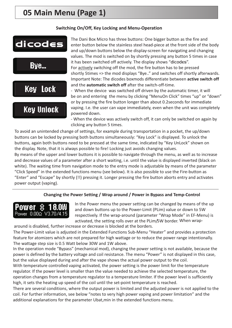# **05 Main Menu (Page 1)**

### **Switching On/Off, Key Locking and Menu-Operation**



Bye...

**Key Lock** 

**Key Unlock** 

The Dani Box Micro has three buttons: One bigger button as the fire and enter button below the stainless steel head-piece at the front side of the body and up/down buttons below the display-screen for navigating and changing values. The mod is switched on by shortly pressing any button 5 times in case it has been switched off actively. The display shows "dicodes". For actively switching off the mod, the fire button has to be pressed shortly 5times => the mod displays "Bye.." and switches off shortly afterwards. Important Note: The dicodes boxmods differentiate between **active switch off** and the automatic switch off after the switch-off-time.

- When the device was switched off driven by the automatic timer, it will be on and entering the menu by clicking "MenuOn Click" times "up" or "down" or by pressing the fire button longer than about 0.2seconds for immediate vaping. I.e. the user can vape immediately, even when the unit was completely powered down.

- When the device was actively switch off, it can only be switched on again by clicking any button 5 times.

To avoid an unintended change of settings, for example during transportation in a pocket, the up/down buttons can be locked by pressing both buttons simultaneously: "Key Lock" is displayed. To unlock the buttons, again both buttons need to be pressed at the same time, indicated by "Key UnLock" shown on the display. Note, that it is always possible to fire! Locking just avoids changing values.

By means of the upper and lower buttons it is possible to navigate through the menu, as well as to increase and decrease values of a parameter after a short waiting, i.e. until the value is displayed inverted (black on white). The waiting time from navigation mode to the entry mode is adjustable by means of the parameter "Click Speed" in the extended functions menu (see below). It is also possible to use the Fire-button as "Enter" and "Escape" by shortly (!!) pressing it. Longer pressing the fire button aborts entry and activates power output (vaping).

### **Changing the Power Setting / Wrap around / Power in Bypass and Temp-Control**

Ω Power 0.00 $\Omega$  V3.70/4.15 In the Power menu the power setting can be changed by means of the up and down buttons up to the Power-Limit (PLim) value or down to 5W respectively. If the wrap-around (parameter "Wrap Mode" in EF-Menu) is activated, the setting rolls over at the PLim/5W border. When wrap-

around is disabled, further increase or decrease is blocked at the borders.

The Power-Limit value is adjusted in the Extended Functions Sub-Menu "Heater" and provides a protection feature for atomizers which are not prepared for high wattage or to reduce the power range intentionally. The wattage step size is 0.5 Watt below 30W and 1W above.

In the operation mode "Bypass" (mechanical mod), changing the power setting is not available, because the power is defined by the battery voltage and coil resistance. The menu "Power" is not displayed in this case, but the value displayed during and after the vape shows the actual power output to the coil.

With temperature controlled vaping activated, the power setting is the power limit for the temperature regulator. If the power level is smaller than the value needed to achieve the selected temperature, the operation changes from a temperature regulator to a temperature limiter. If the power level is sufficiently high, it sets the heating up speed of the coil until the set-point temperature is reached.

There are several conditions, where the output power is limited and the adjusted power is not applied to the coil. For further information, see below "notes to very high power vaping and power limitation" and the additional explanations for the parameter Ubat,min in the extended functions menu.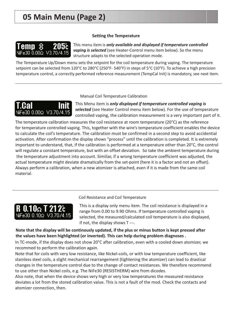# **05 Main Menu (Page 2)**

### **Setting the Temperature**

ſì, NiFe30 0.00Ω V3.7074.15

This menu item is *only available and displayed if temperature controlled* vaping is selected (see Heater-Control menu item below). So the menu structure adapts to the selected operation mode.

The Temperature Up/Down menu sets the setpoint for the coil temperature during vaping. The temperature setpoint can be selected from 120°C to 280°C (250°F- 540°F) in steps of 5°C (10°F). To achieve a high precision temperature control, a correctly performed reference measurement (TempCal Init) is mandatory, see next item.

# NiFe30 0.00Ω V3.7074.15

Manual Coil Temperature Calibration

This Menu item is *only displayed if temperature controlled vaping is* selected (see Heater Control menu item below). For the use of temperature controlled vaping, the calibration measurement is a very important part of it.

The temperature calibration measures the coil resistance at room temperature (20°C) as the reference for temperature controlled vaping. This, together with the wire's temperature coefficient enables the device to calculate the coil's temperature. The calibration must be confirmed in a second step to avoid accidential activation. After confirmation the display shows "process" until the calibration is completed. It is extremely important to understand, that, if the calibration is performed at a temperature other than 20°C, the control will regulate a constant temperature, but with an offset deviation. So take the ambient temperature during the temperature adjustment into account. Similiar, if a wrong temperature coefficient was adjusted, the actual temperature might deviate dramatically from the set-point (here it is a factor and not an offset). Always perform a calibration, when a new atomizer is attached, even if it is made from the same coil material.



Coil Resistance and Coil Temperature

This is a display only menu item. The coil resistance is displayed in a range from 0.00 to 9.90 Ohms. If temperature controlled vaping is selected, the measured/calculated coil temperature is also displayed, if not, the display shows T ---.

**Note that the display will be continously updated, if the plus or minus button is kept pressed after the values have been highlighted (or inverted). This can help during problem diagnoses .**

In TC-mode, if the display does not show 20°C after calibration, even with a cooled down atomizer, we recommed to perform the calibration again.

Note that for coils with very low resistance, like Nickel-coils, or with low temperature coefficient, like stainless steel coils, a slight mechanical rearrangement (tightening the atomizer) can lead to drastical changes in the temperature control due to the change of contact resistances. We therefore recommend to use other than Nickel coils, e.g. The NiFe30 (RESISTHERM) wire from dicodes.

Also note, that when the device shows very high or very low temperatures the measured resistance deviates a lot from the stored calibration value. This is not a fault of the mod. Check the contacts and atomizer connection, then.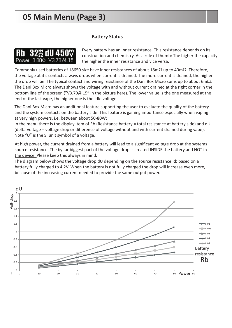# **05 Main Menu (Page 3)**

### **Battery Status**

# 328 dU Power 0.00Ω V3.70/4

Every battery has an inner resistance. This resistance depends on its construction and chemistry. As a rule of thumb: The higher the capacity the higher the inner resistance and vice versa.

Commonly used batteries of 18650 size have inner resistances of about 18m $\Omega$  up to 40m $\Omega$ . Therefore, the voltage at it's contacts always drops when current is drained. The more current is drained, the higher the drop will be. The typical contact and wiring resistance of the Dani Box Micro sums up to about 6m $\Omega$ . The Dani Box Micro always shows the voltage with and without current drained at the right corner in the bottom line of the screen ("V3.70/4.15" in the picture here). The lower value is the one measured at the end of the last vape, the higher one is the idle voltage.

The Dani Box Micro has an additional feature supporting the user to evaluate the quality of the battery and the system contacts on the battery side. This feature is gaining importance especially when vaping at very high powers, i.e. between about 50-80W:

In the menu there is the display item of Rb (Resistance battery = total resistance at battery side) and dU (delta Voltage = voltage drop or difference of voltage without and with current drained during vape). Note "U" is the SI unit symbol of a voltage.

At high power, the current drained from a battery will lead to a significant voltage drop at the systems source resistance. The by far biggest part of the voltage drop is created INSIDE the battery and NOT in the device. Please keep this always in mind.

The diagram below shows the voltage drop dU depending on the source resistance Rb based on a battery fully charged to 4.2V. When the battery is not fully charged the drop will increase even more, because of the increasing current needed to provide the same output power.

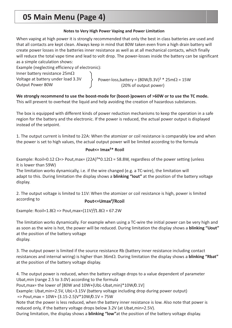# **05 Main Menu (Page 4)**

### **Notes to Very High Power Vaping and Power Limitation**

When vaping at high power it is strongly recommended that only the best in class batteries are used and that all contacts are kept clean. Always keep in mind that 80W taken even from a high drain battery will create power losses in the batteries inner resistance as well as at all mechanical contacts, which finally will reduce the total vape time and lead to volt drop. The power-losses inside the battery can be significant as a simple calculation shows:

Example (neglecting efficiency of electronic):

Inner battery resistance 25m $\Omega$ Voltage at battery under load 3.3V

Output Power 80W

Power-loss, battery =  $(80W/3.3V)^2 * 25m\Omega = 15W$ (20% of output power)

This will prevent to overheat the liquid and help avoiding the creation of hazardous substances. **We strongly recommend to use the boost-mode for (boost-)powers of >60W or to use the TC mode.**

The box is equipped with different kinds of power reduction mechanisms to keep the operation in a safe region for the battery and the electronic. If the power is reduced, the actual power output is displayed instead of the setpoint.

1. The output current is limited to 22A: When the atomizer or coil resistance is comparably low and when the power is set to high values, the actual output power will be limited according to the formula

### **Pout<= Imax²\* Rcoil**

Example: Rcoil=0.12  $\Omega$ => Pout,max= (22A)<sup>2\*</sup>0.12 $\Omega$  = 58.8W, regardless of the power setting (unless it is lower than 59W)

The limitation works dynamically, i.e. if the wire changed (e.g. a TC-wire), the limitation will adapt to this. During limitation the display shows a **blinking "lout"** at the position of the battery voltage display.

2. The output voltage is limited to 11V: When the atomizer or coil resistance is high, power is limited according to

## **Pout<=Umax²/Rcoil**

Example: Rcoil=1.8 $\Omega$  => Pout,max=(11V)<sup>2</sup>/1.8 $\Omega$  = 67.2W

The limitation works dynamically. For example when using a TC-wire the initial power can be very high and as soon as the wire is hot, the power will be reduced. During limitation the display shows a **blinking "Uout"** at the position of the battery voltage display.

3. The output power is limited if the source resistance Rb (battery inner resistance including contact resistances and internal wiring) is higher than 36mΩ. During limitation the display shows a **blinking "Rbat"** at the position of the battery voltage display.

4. The output power is reduced, when the battery voltage drops to a value dependent of parameter Ubat,min (range 2.5 to 3.0V) according to the formula

Pout,max= the lower of [80W and 10W+(UbL-Ubat,min)\*10W/0.1V]

Example: Ubat,min=2.5V, UbL=3.15V (battery voltage including drop during power output)

 $\Rightarrow$  Pout, max = 10W + (3.15-2.5) V \* 10W / 0.1V = 75W

Note that the power is less reduced, when the battery inner resistance is low. Also note that power is reduced only, if the battery voltage drops below 3.2V (at Ubat,min=2.5V).

During limitation, the display shows a **blinking "low"** at the position of the battery voltage display.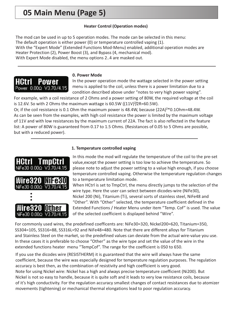## **Heater Control (Operation modes)**

The mod can be used in up to 5 operation modes. The mode can be selected in this menu: The default operation is either power (0) or temperature controlled vaping (1). With the "Expert Mode" (Extended Functions Mod-Menu) enabled, additional operation modes are Heater Protection (2), Power Boost (3), and Bypass (4, mechanical mod). With Expert Mode disabled, the menu options 2..4 are masked out.



#### **0. Power Mode**

In the power operation mode the wattage selected in the power setting menu is applied to the coil, unless there is a power limitation due to a condition described above under "notes to very high power vaping".

For example, with a coil resistance of 2 Ohms and a power setting of 80W, the required voltage at the coil is 12.6V. So with 2 Ohms the maximum wattage is  $60.5W$  ((11V) $^{2}/2R=60.5W$ ).

Or, if the coil resistance is 0.1 Ohm the maximum power is 48.4W, because (22A)²\*0.1Ohm=48.4W. As can be seen from the examples, with high coil resistance the power is limited by the maximum voltage of 11V and with low resistances by the maximum current of 22A. The fact is also reflected in the feature list: A power of 80W is guaranteed from 0.17 to 1.5 Ohms. (Resistances of 0.05 to 5 Ohms are possible, but with a reduced power).

**1. Temperature controlled vaping**



In this mode the mod will regulate the temperature of the coil to the pre-set value,except the power setting is too low to achieve the temperature. So please note to adjust the power setting to a value high enough, if you choose temperature controlled vaping. Otherwise the temperature regulation changes to a temperature limitation mode.

When HCtrl is set to TmpCtrl, the menu directly jumps to the selection of the wire type. Here the user can select between dicodes-wire (NiFe30), Nickel 200 (Ni), Titanium (Ti), several sorts of stainless steel, NiFe48 and "Other". With "Other" selected, the temperature coefficient defined in the Extended Functions / Heater Menu under item "Temp. Cof" is used. The value of the selected coefficient is displayed behind "Wire".

For commonly used wires, the predefined coefficents are: NiFe30=320, Nickel200=620, Titanium=350, SS304=105, SS316=88, SS316L=92 and NiFe48=480. Note that there are different alloys for Titanium and Stainless Steel on the market, so the predefined values can deviate from the actual wire-value you use. In these cases it is preferable to choose "Other" as the wire type and set the value of the wire in the extended functions heater menu "TempCof". The range for the coefficient is 050 to 650.

If you use the dicodes wire (RESISTHERM) it is guaranteed that the wire will always have the same coefficient, because the wire was especially designed for temperature regulation purposes. The regulation accuracy is best then, as the combination of resistivity and high coefficient is very good. Note for using Nickel wire: Nickel has a high and always precise temperature coefficient (Ni200). But Nickel is not so easy to handle, because it is quite soft and it leads to very low resistance coils, because of it's high conductivity. For the regulation accuracy smallest changes of contact resistances due to atomizer movements (tightening) or mechanical thermal elongations lead to poor regulation accuracy.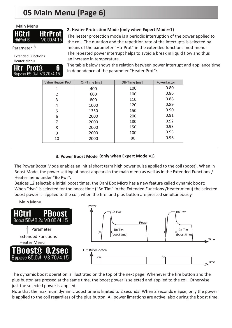# **05 Main Menu (Page 6)**

| Main Menu |    |
|-----------|----|
| uetri     | Шŧ |

| HUTI<br>HtrProt 6 | <b>HITPROT</b><br>V0.00/4.15 |
|-------------------|------------------------------|
|                   |                              |

Parameter /

Heater Menu



**2. Heater Protection Mode (only when Expert Mode=1)**

The heater protection mode is a periodic interruption of the power applied to the coil. The duration and the repetition rate of the interrupts is selected by means of the parameter "Htr Prot" in the extended functions mod-menu. The repeated power interrupt helps to avoid a break in liquid flow and thus Extended Functions<br>an increase in temperature.

> The table below shows the relation between power interrupt and appliance time in dependence of the parameter "Heater Prot":

| <b>Value Heater Prot</b> | On-Time [ms] | Off-Time [ms] | Powerfactor |
|--------------------------|--------------|---------------|-------------|
|                          | 400          | 100           | 0.80        |
| $\overline{2}$           | 600          | 100           | 0.86        |
| 3                        | 800          | 110           | 0.88        |
| 4                        | 1000         | 120           | 0.89        |
| 5                        | 1350         | 150           | 0.90        |
| 6                        | 2000         | 200           | 0.91        |
|                          | 2000         | 180           | 0.92        |
| 8                        | 2000         | 150           | 0.93        |
| 9                        | 2000         | 100           | 0.95        |
| 10                       | 2000         | 80            | 0.96        |

### **3. Power Boost Mode (only when Expert Mode =1)**

The Power Boost Mode enables an initial short term high power pulse applied to the coil (boost). When in Boost Mode, the power setting of boost appears in the main menu as well as in the Extended Functions / Heater menu under "Bo Pwr".

Besides 12 selectable initial boost times, the Dani Box Micro has a new feature called dynamic boost: When "dyn" is selected for the boost time ("Bo Tim" in the Extended Functions /Heater menu) the selected boost power is applied to the coil, when the fire- and plus-button are pressed simultaneously.

Main Menu



The dynamic boost operation is illustrated on the top of the next page: Whenever the fire button and the plus button are pressed at the same time, the boost power is selected and applied to the coil. Otherwise just the selected power is applied.

Note that the maximum dynamic boost time is limited to 2 seconds! When 2 seconds elapse, only the power is applied to the coil regardless of the plus button. All power limtations are active, also during the boost time.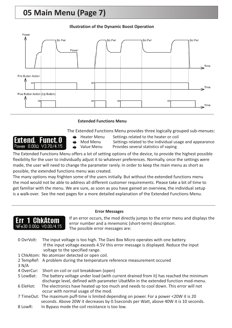# **05 Main Menu (Page 7)**

### **Illustration of the Dynamic Boost Operation**



#### **Extended Functions Menu**

The Extended Functions Menu provides three logically grouped sub-menues:

# **Extend. Funct.0** Power 0.00Ω V3.70/4.15

- - Heater Menu Settings related to the heater or coil
	-
- Mod Menu Settings related to the individual usage and appearance
- $\rightarrow$
- Value Menu Provides several statistics of vaping

The Extended Functions Menu offers a lot of setting options of the device, to provide the highest possible flexibility for the user to individually adjust it to whatever preferences. Normally, once the settings were made, the user will need to change the parameter rarely. In order to keep the main menu as short as possible, the extended functions menu was created.

The many options may frighten some of the users initially. But without the extended functions menu the mod would not be able to address all different customer requirements. Please take a bit of time to get familiar with the menu. We are sure, as soon as you have gained an overview, the individual setup is a walk-over. See the next pages for a more detailed explanation of the Extended Functions Menu.

# **Error Messages**

# NiFe30 0.00Ω V0.00/4.15

If an error occurs, the mod directly jumps to the error menu and displays the error number and a mnemonic (short-term) description. The possible error messages are:

- 0 OvrVolt: The input voltage is too high. The Dani Box Micro operates with one battery. If the input voltage exceeds 4.5V this error message is displayed. Reduce the input voltage to the specified range.
- 1 ChkAtom: No atomizer detected or open coil.
- 2 TempRef: A problem during the temperature reference measurement occured 3 N/A
- 4 OverCur: Short on coil or coil breakdown (open)
- 5 LowBat: The battery voltage under load (with current drained from it) has reached the minimum discharge level, defined with parameter UbatMin in the extended function mod-menu.
- 6 EleHot: The electronics have heated up too much and needs to cool down. This error will not occur with normal usage of the mod.
- 7 TimeOut: The maximum puff-time is limited depending on power. For a power <20W it is 20 seconds. Above 20W it decreases by 0.5seconds per Watt, above 40W it is 10 seconds.
- 8 LowR: In Bypass mode the coil resistance is too low.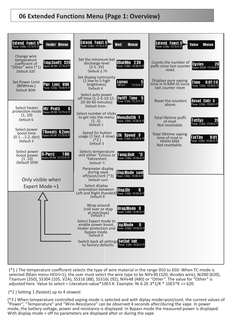

(\*1 ) The temperature coefficient selects the type of wire material in the range 050 to 650: When TC-mode is selected (Main menu HCtrl=1), the user must select the wire type to be NiFe30 (320, dicodes wire), Ni200 (620), Titanium (350), SS304 (105, V2A), SS316 (88), SS316L (92), NiFe48 (480) or "Other". The value for "Other" is adjusted here. Value to select = Literature-value\*10E5 K. Example: Ni 6.2E-3\*1/K \* 10E5\*K => 620

(\*2 ) Setting 1 (fastest) up to 4 slowest

(\*3 ) When temperature controlled vaping mode is selected and with diplay mode=post/cont, the current values of "Power", "Temperature" and "Wire-Resistance" can be observed 4 seconds after/during the vape. In power mode, the battery voltage, power and resistance is displayed. In Bypass mode the measured power is displayed. With display mode = off no parameters are displayed after or during the vape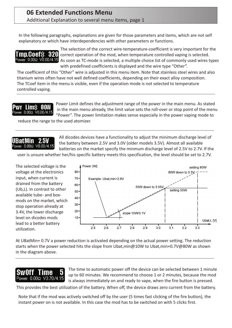# **06 Extended Functions Menu** Additional Explanation to several menu items, page 1

In the following paragraphs, explanations are given for those parameters and items, which are not self explanatory or which have interdependencies with other parameters or functions.

The selection of the correct wire-temperature-coefficient is very important for the **mp. Coeft**  $320$  correct operation of the mod, when temperature controlled vaping is selected. Power  $0.00\Omega$  V0.00/4.15 As soon as TC-mode is selected, a multiple choice list of commonly used wires types with predefined coefficients is displayed and the wire type "Other".

The coefficient of this "Other" wire is adjusted in this menu item. Note that stainless steel wires and also titanium wires often have not well defined coefficients, depending on their exact alloy composition. The TCoef item in the menu is visible, even if the operation mode is not selected to temperature controlled vaping.

#### Limê 80W Pwr ower 0.00Ω V0.00/4.15

Power Limit defines the adjustment range of the power in the main menu. As stated in the main menu already, the limit value sets the roll-over or stop point of the menu "Power". The power limitation makes sense especially in the power vaping mode to

reduce the range to the used atomizer.

#### 2.SV UBatMin Vower 0.00Ω V0.00/4.15

All dicodes devices have a functionality to adjust the minimum discharge level of the battery between 2.5V and 3.0V (older models 3.5V). Almost all available batteries on the market specify the minmum discharge level of 2.5V to 2.7V. If the

user is unsure whether her/his specific battery meets this specification, the level should be set to 2.7V.

The selected voltage is the voltage at the electronics input, when current is drained from the battery (Ub,L). In contrast to other available tube- and boxmods on the market, which stop operation already at 3.4V, the lower discharge level on dicodes mods lead to a better battery utilization.



At UBatMin+ 0.7V a power reduction is activated depending on the actual power setting. The reduction starts when the power selected hits the slope from Ubat,min@10W to Ubat,min+0.7V@80W as shown in the diagram above.

# 5 Power 0.00Ω V3.70/4.15

The time to automatic power off the device can be selected between 1 minute up to 60 minutes. We recommend to choose 1 or 2 minutes, because the mod is always immediately on and ready to vape, when the fire button is pressed.

This provides the best utilization of the battery. When off, the device draws zero current from the battery.

Note that if the mod was actively switched off by the user (5 times fast clicking of the fire button), the instant power on is not available. In this case the mod has to be switched on with 5 clicks first.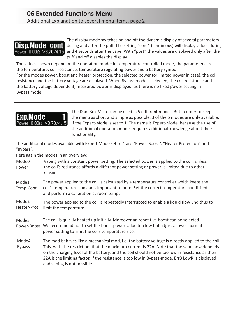# **06 Extended Functions Menu**

Additional Explanation to several menu items, page 2

# Disn.Mode cont Power 0.00Ω V3.70/4.15

The display mode switches on and off the dynamic display of several parameters during and after the puff. The setting "cont" (continious) will display values during and 4 seconds after the vape. With "post" the values are displayed only after the puff and off disables the display.

The values shown depend on the operation mode: In temperature controlled mode, the parameters are the temperature, coil resistance, temperature regulating power and a battery symbol.

For the modes power, boost and heater protection, the selected power (or limited power in case), the coil resistance and the battery voltage are displayed. When Bypass mode is selected, the coil resistance and the battery voltage dependent, measured power is displayed, as there is no fixed power setting in Bypass mode.

# V3.70/4.15 n nno-

The Dani Box Micro can be used in 5 different modes. But in order to keep the menu as short and simple as possible, 3 of the 5 modes are only available, if the Expert-Mode is set to 1. The name is Expert-Mode, because the use of the additional operation modes requires additional knowledge about their functionality.

The additional modes available with Expert Mode set to 1 are "Power Boost", "Heater Protection" and "Bypass".

Here again the modes in an overview:

- Vaping with a constant power setting. The selected power is applied to the coil, unless the coil's resistance affords a different power setting or power is limited due to other reasons. Mode0 Power
- The power applied to the coil is calculated by a temperature controller which keeps the coil's temperature constant. Important to note: Set the correct temperature coefficient and perform a calibration at room temp. Mode1 Temp-Cont.

The power applied to the coil is repeatedly interrupted to enable a liquid flow und thus to limit the temperature. Mode<sub>2</sub> Heater-Prot.

The coil is quickly heated up initially. Moreover an repetitive boost can be selected. Power-Boost We recommend not to set the boost-power value too low but adjust a lower normal power setting to limit the coils temperature rise. Mode3

The mod behaves like a mechanical mod, i.e. the battery voltage is directly applied to the coil. This, with the restriction, that the maximum current is 22A. Note that the vape now depends on the charging level of the battery, and the coil should not be too low in resistance as then 22A is the limiting factor. If the resistance is too low in Bypass-mode, Err8 LowR is displayed and vaping is not possible. Mode4 Bypass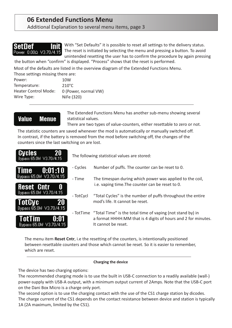# **06 Extended Functions Menu**

Additional Explanation to several menu items, page 3



With "Set Defaults" it is possible to reset all settings to the delivery status. The reset is initiated by selecting the menu and pressing a button. To avoid unintended resetting the user has to confirm the procedure by again pressing

the button when "confirm" is displayed. "Process" shows that the reset is performed.

Most of the defaults are listed in the overview diagram of the Extended Functions Menu.

| Those settings missing there are: |                      |
|-----------------------------------|----------------------|
| Power:                            | 10 <sub>W</sub>      |
| Temperature:                      | $210^{\circ}$ C      |
| <b>Heater Control Mode:</b>       | 0 (Power, normal VW) |
| Wire Type:                        | NiFe (320)           |

The Extended Functions Menu has another sub-menu showing several statistical values.

There are two types of value-counters, either resettable to zero or not.

The statistic counters are saved whenever the mod is automatically or manually switched off. In contrast, if the battery is removed from the mod before switching off, the changes of the counters since the last switching on are lost.



The following statistical values are stored:

- Cycles Number of puffs. The counter can be reset to 0.
- Time The timespan during which power was applied to the coil, i.e. vaping time.The counter can be reset to 0.
- TotCycl "Total Cycles" is the number of puffs throughout the entire mod's life. It cannot be reset.
- TotTime "Total Time" is the total time of vaping (not stand by) in a format HHHH:MM that is 4 digits of hours and 2 for minutes. It cannot be reset.

The menu item Reset Cntr, i.e the resetting of the counters, is intentionally positioned between resettable counters and those which cannot be reset. So it is easier to remember, which are reset.

#### **Charging the device**

The device has two charging options:

The recommended charging mode is to use the built in USB-C connection to a readily available (wall-) power-supply with USB-A output, with a minimum output current of 2Amps. Note that the USB-C port on the Dani Box Micro is a charge only port.

The second option is to use the charging contact with the use of the CS1 charge station by dicodes. The charge current of the CS1 depends on the contact resistance between device and station is typically 1A (2A maximum, limited by the CS1).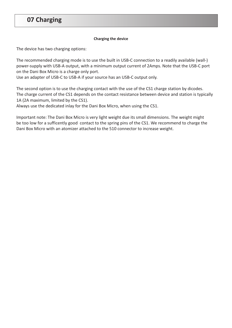# **07 Charging**

#### **Charging the device**

The device has two charging options:

The recommended charging mode is to use the built in USB-C connection to a readily available (wall-) power-supply with USB-A output, with a minimum output current of 2Amps. Note that the USB-C port on the Dani Box Micro is a charge only port.

Use an adapter of USB-C to USB-A if your source has an USB-C output only.

The second option is to use the charging contact with the use of the CS1 charge station by dicodes. The charge current of the CS1 depends on the contact resistance between device and station is typically 1A (2A maximum, limited by the CS1).

Always use the dedicated inlay for the Dani Box Micro, when using the CS1.

Important note: The Dani Box Micro is very light weight due its small dimensions. The weight might be too low for a sufficently good contact to the spring pins of the CS1. We recommend to charge the Dani Box Micro with an atomizer attached to the 510 connector to increase weight.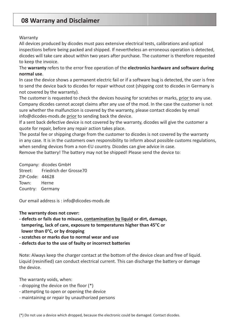# **08 Warrany and Disclaimer**

### **Warranty**

All devices produced by dicodes must pass extensive electrical tests, calibrations and optical inspections before being packed and shipped. If nevertheless an erroneous operation is detected, dicodes will take care about within two years after purchase. The customer is therefore requested to keep the invoice.

The warranty refers to the error free operation of the electronics hardware and software during . **normal use**

In case the device shows a permanent electric fail or if a software bug is detected, the user is free to send the device back to dicodes for repair without cost (shipping cost to dicodes in Germany is not covered by the warranty).

The customer is requested to check the devices housing for scratches or marks, prior to any use. Company dicodes cannot accept claims after any use of the mod. In the case the customer is not sure whether the malfunction is covered by the warranty, please contact dicodes by email info@dicodes-mods.de prior to sending back the device.

If a sent back defective device is not covered by the warranty, dicodes will give the customer a quote for repair, before any repair action takes place.

The postal fee or shipping charge from the customer to dicodes is not covered by the warranty in any case. It is in the customers own responsibility to inform about possible customs regulations, when sending devices from a non-EU country. Dicodes can give advice in case.

Remove the battery! The battery may not be shipped! Please send the device to:

Company: dicodes GmbH Street: Friedrich der Grosse70 ZIP-Code: 44628 Town: Herne Country: Germany

Our email address is : info@dicodes-mods.de

### **The warranty does not cover:**

- defects or fails due to misuse, **contamination by liquid** or dirt, damage, **tampering, lack of care, exposure to temperatures higher than 45°C or lower than 0°C, or by dropping**
- **scratches or marks due to normal wear and use**
- **defects due to the use of faulty or incorrect batteries**

Note: Always keep the charger contact at the bottom of the device clean and free of liquid. Liquid (resinified) can conduct electrical current. This can discharge the battery or damage the device.

The warranty voids, when:

- dropping the device on the floor (\*)
- attempting to open or opening the device
- maintaining or repair by unauthorized persons